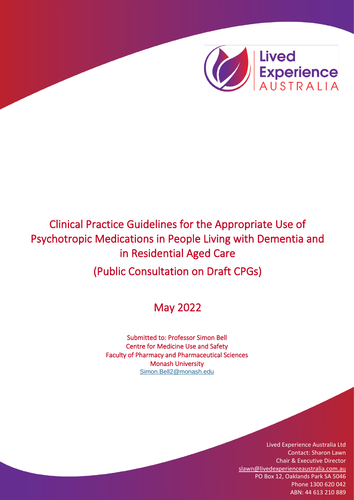

# Clinical Practice Guidelines for the Appropriate Use of Psychotropic Medications in People Living with Dementia and in Residential Aged Care

(Public Consultation on Draft CPGs)

# May 2022

Submitted to: Professor Simon Bell Centre for Medicine Use and Safety Faculty of Pharmacy and Pharmaceutical Sciences Monash University [Simon.Bell2@monash.edu](mailto:Simon.Bell2@monash.edu)

> Lived Experience Australia Ltd Contact: Sharon Lawn Chair & Executive Director [slawn@livedexperienceaustralia.com.au](mailto:slawn@livedexperienceaustralia.com.au) PO Box 12, Oaklands Park SA 5046 Phone 1300 620 042 ABN: 44 613 210 889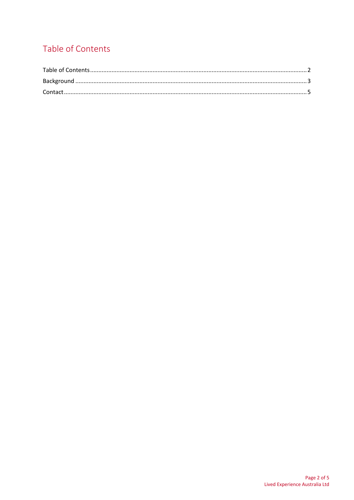# <span id="page-1-0"></span>Table of Contents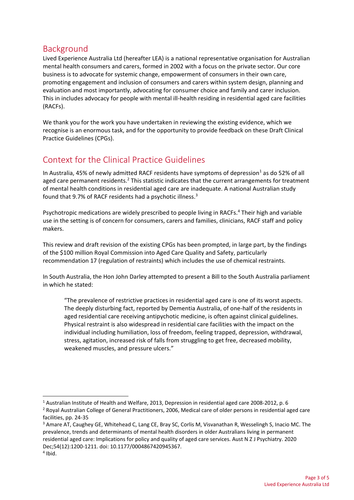#### <span id="page-2-0"></span>Background

Lived Experience Australia Ltd (hereafter LEA) is a national representative organisation for Australian mental health consumers and carers, formed in 2002 with a focus on the private sector. Our core business is to advocate for systemic change, empowerment of consumers in their own care, promoting engagement and inclusion of consumers and carers within system design, planning and evaluation and most importantly, advocating for consumer choice and family and carer inclusion. This in includes advocacy for people with mental ill-health residing in residential aged care facilities (RACFs).

We thank you for the work you have undertaken in reviewing the existing evidence, which we recognise is an enormous task, and for the opportunity to provide feedback on these Draft Clinical Practice Guidelines (CPGs).

## Context for the Clinical Practice Guidelines

In Australia, 45% of newly admitted RACF residents have symptoms of depression<sup>1</sup> as do 52% of all aged care permanent residents.<sup>2</sup> This statistic indicates that the current arrangements for treatment of mental health conditions in residential aged care are inadequate. A national Australian study found that 9.7% of RACF residents had a psychotic illness.<sup>3</sup>

Psychotropic medications are widely prescribed to people living in RACFs.<sup>4</sup> Their high and variable use in the setting is of concern for consumers, carers and families, clinicians, RACF staff and policy makers.

This review and draft revision of the existing CPGs has been prompted, in large part, by the findings of the \$100 million Royal Commission into Aged Care Quality and Safety, particularly recommendation 17 (regulation of restraints) which includes the use of chemical restraints.

In South Australia, the Hon John Darley attempted to present a Bill to the South Australia parliament in which he stated:

"The prevalence of restrictive practices in residential aged care is one of its worst aspects. The deeply disturbing fact, reported by Dementia Australia, of one-half of the residents in aged residential care receiving antipychotic medicine, is often against clinical guidelines. Physical restraint is also widespread in residential care facilities with the impact on the individual including humiliation, loss of freedom, feeling trapped, depression, withdrawal, stress, agitation, increased risk of falls from struggling to get free, decreased mobility, weakened muscles, and pressure ulcers."

<sup>1</sup> Australian Institute of Health and Welfare, 2013, Depression in residential aged care 2008-2012, p. 6

<sup>2</sup> Royal Australian College of General Practitioners, 2006, Medical care of older persons in residential aged care facilities, pp. 24-35

<sup>3</sup> Amare AT, Caughey GE, Whitehead C, Lang CE, Bray SC, Corlis M, Visvanathan R, Wesselingh S, Inacio MC. The prevalence, trends and determinants of mental health disorders in older Australians living in permanent residential aged care: Implications for policy and quality of aged care services. Aust N Z J Psychiatry. 2020 Dec;54(12):1200-1211. doi: 10.1177/0004867420945367. 4 Ibid.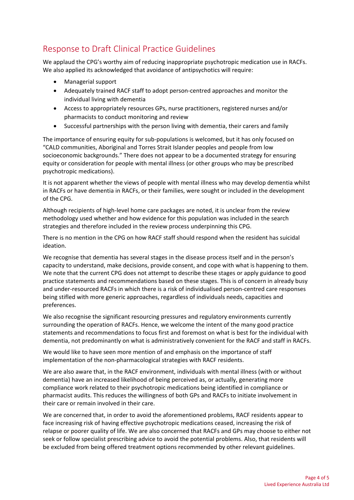## Response to Draft Clinical Practice Guidelines

We applaud the CPG's worthy aim of reducing inappropriate psychotropic medication use in RACFs. We also applied its acknowledged that avoidance of antipsychotics will require:

- Managerial support
- Adequately trained RACF staff to adopt person-centred approaches and monitor the individual living with dementia
- Access to appropriately resources GPs, nurse practitioners, registered nurses and/or pharmacists to conduct monitoring and review
- Successful partnerships with the person living with dementia, their carers and family

The importance of ensuring equity for sub-populations is welcomed, but it has only focused on "CALD communities, Aboriginal and Torres Strait Islander peoples and people from low socioeconomic backgrounds." There does not appear to be a documented strategy for ensuring equity or consideration for people with mental illness (or other groups who may be prescribed psychotropic medications).

It is not apparent whether the views of people with mental illness who may develop dementia whilst in RACFs or have dementia in RACFs, or their families, were sought or included in the development of the CPG.

Although recipients of high-level home care packages are noted, it is unclear from the review methodology used whether and how evidence for this population was included in the search strategies and therefore included in the review process underpinning this CPG.

There is no mention in the CPG on how RACF staff should respond when the resident has suicidal ideation.

We recognise that dementia has several stages in the disease process itself and in the person's capacity to understand, make decisions, provide consent, and cope with what is happening to them. We note that the current CPG does not attempt to describe these stages or apply guidance to good practice statements and recommendations based on these stages. This is of concern in already busy and under-resourced RACFs in which there is a risk of individualised person-centred care responses being stifled with more generic approaches, regardless of individuals needs, capacities and preferences.

We also recognise the significant resourcing pressures and regulatory environments currently surrounding the operation of RACFs. Hence, we welcome the intent of the many good practice statements and recommendations to focus first and foremost on what is best for the individual with dementia, not predominantly on what is administratively convenient for the RACF and staff in RACFs.

We would like to have seen more mention of and emphasis on the importance of staff implementation of the non-pharmacological strategies with RACF residents.

We are also aware that, in the RACF environment, individuals with mental illness (with or without dementia) have an increased likelihood of being perceived as, or actually, generating more compliance work related to their psychotropic medications being identified in compliance or pharmacist audits. This reduces the willingness of both GPs and RACFs to initiate involvement in their care or remain involved in their care.

We are concerned that, in order to avoid the aforementioned problems, RACF residents appear to face increasing risk of having effective psychotropic medications ceased, increasing the risk of relapse or poorer quality of life. We are also concerned that RACFs and GPs may choose to either not seek or follow specialist prescribing advice to avoid the potential problems. Also, that residents will be excluded from being offered treatment options recommended by other relevant guidelines.